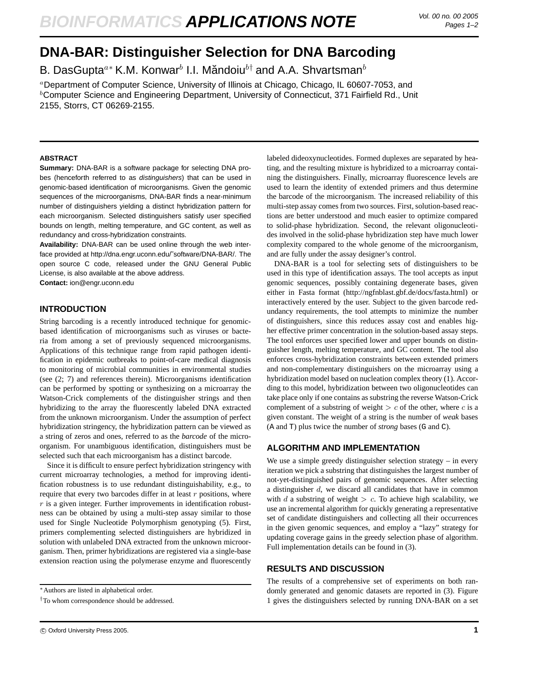# **BIOINFORMATICS APPLICATIONS NOTE**

# **DNA-BAR: Distinguisher Selection for DNA Barcoding**

B. DasGupta $^{a*}$  K.M. Konwar $^b$  I.I. Măndoiu $^{b\dagger}$  and A.A. Shvartsman $^b$ 

<sup>a</sup>Department of Computer Science, University of Illinois at Chicago, Chicago, IL 60607-7053, and  $b$ Computer Science and Engineering Department, University of Connecticut, 371 Fairfield Rd., Unit 2155, Storrs, CT 06269-2155.

# **ABSTRACT**

**Summary:** DNA-BAR is a software package for selecting DNA probes (henceforth referred to as distinguishers) that can be used in genomic-based identification of microorganisms. Given the genomic sequences of the microorganisms, DNA-BAR finds a near-minimum number of distinguishers yielding a distinct hybridization pattern for each microorganism. Selected distinguishers satisfy user specified bounds on length, melting temperature, and GC content, as well as redundancy and cross-hybridization constraints.

**Availability:** DNA-BAR can be used online through the web interface provided at http://dna.engr.uconn.edu/˜software/DNA-BAR/. The open source C code, released under the GNU General Public License, is also available at the above address.

**Contact:** ion@engr.uconn.edu

#### **INTRODUCTION**

String barcoding is a recently introduced technique for genomicbased identification of microorganisms such as viruses or bacteria from among a set of previously sequenced microorganisms. Applications of this technique range from rapid pathogen identification in epidemic outbreaks to point-of-care medical diagnosis to monitoring of microbial communities in environmental studies (see (2; 7) and references therein). Microorganisms identification can be performed by spotting or synthesizing on a microarray the Watson-Crick complements of the distinguisher strings and then hybridizing to the array the fluorescently labeled DNA extracted from the unknown microorganism. Under the assumption of perfect hybridization stringency, the hybridization pattern can be viewed as a string of zeros and ones, referred to as the *barcode* of the microorganism. For unambiguous identification, distinguishers must be selected such that each microorganism has a distinct barcode.

Since it is difficult to ensure perfect hybridization stringency with current microarray technologies, a method for improving identification robustness is to use redundant distinguishability, e.g., to require that every two barcodes differ in at least  $r$  positions, where  $r$  is a given integer. Further improvements in identification robustness can be obtained by using a multi-step assay similar to those used for Single Nucleotide Polymorphism genotyping (5). First, primers complementing selected distinguishers are hybridized in solution with unlabeled DNA extracted from the unknown microorganism. Then, primer hybridizations are registered via a single-base extension reaction using the polymerase enzyme and fluorescently labeled dideoxynucleotides. Formed duplexes are separated by heating, and the resulting mixture is hybridized to a microarray containing the distinguishers. Finally, microarray fluorescence levels are used to learn the identity of extended primers and thus determine the barcode of the microorganism. The increased reliability of this multi-step assay comes from two sources. First, solution-based reactions are better understood and much easier to optimize compared to solid-phase hybridization. Second, the relevant oligonucleotides involved in the solid-phase hybridization step have much lower complexity compared to the whole genome of the microorganism, and are fully under the assay designer's control.

DNA-BAR is a tool for selecting sets of distinguishers to be used in this type of identification assays. The tool accepts as input genomic sequences, possibly containing degenerate bases, given either in Fasta format (http://ngfnblast.gbf.de/docs/fasta.html) or interactively entered by the user. Subject to the given barcode redundancy requirements, the tool attempts to minimize the number of distinguishers, since this reduces assay cost and enables higher effective primer concentration in the solution-based assay steps. The tool enforces user specified lower and upper bounds on distinguisher length, melting temperature, and GC content. The tool also enforces cross-hybridization constraints between extended primers and non-complementary distinguishers on the microarray using a hybridization model based on nucleation complex theory (1). According to this model, hybridization between two oligonucleotides can take place only if one contains as substring the reverse Watson-Crick complement of a substring of weight  $>c$  of the other, where c is a given constant. The weight of a string is the number of *weak* bases (A and T) plus twice the number of *strong* bases (G and C).

#### **ALGORITHM AND IMPLEMENTATION**

We use a simple greedy distinguisher selection strategy – in every iteration we pick a substring that distinguishes the largest number of not-yet-distinguished pairs of genomic sequences. After selecting a distinguisher  $d$ , we discard all candidates that have in common with  $d$  a substring of weight  $>c$ . To achieve high scalability, we use an incremental algorithm for quickly generating a representative set of candidate distinguishers and collecting all their occurrences in the given genomic sequences, and employ a "lazy" strategy for updating coverage gains in the greedy selection phase of algorithm. Full implementation details can be found in (3).

# **RESULTS AND DISCUSSION**

The results of a comprehensive set of experiments on both randomly generated and genomic datasets are reported in (3). Figure 1 gives the distinguishers selected by running DNA-BAR on a set

<sup>∗</sup>Authors are listed in alphabetical order.

<sup>†</sup>To whom correspondence should be addressed.